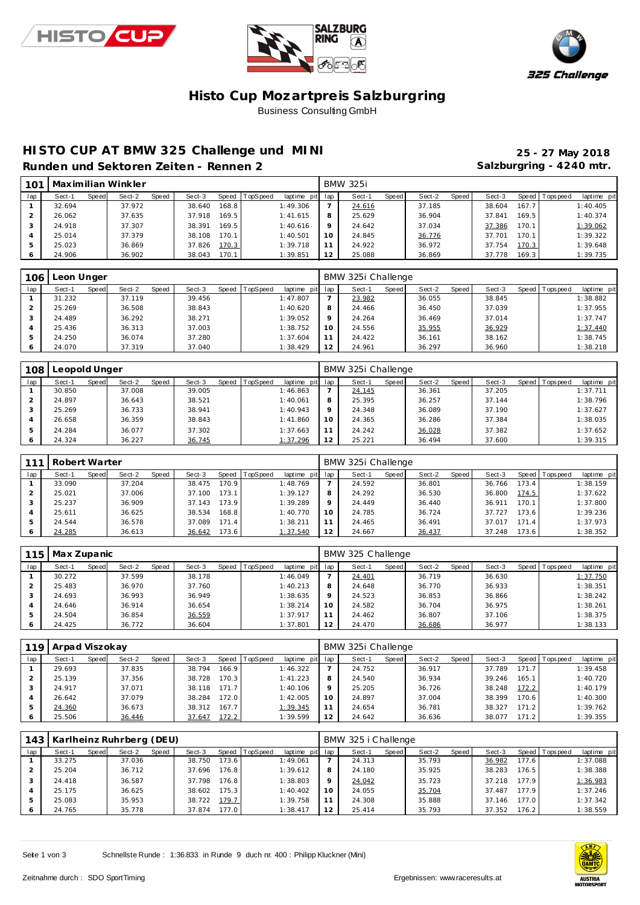





### **Histo Cup Mozartpre is Salzburgring** Business Consulting GmbH

### **HISTO CUP AT BMW 325 Challenge und MINI 25 - 27 May 2018**

Salzburgring - 4240 mtr.

|  | Runden und Sektoren Zeiten - Rennen 2 |  |  |
|--|---------------------------------------|--|--|
|  |                                       |  |  |

| 101 |        |       | Maximilian Winkler |       |        |       |          |                 |    | <b>BMW 325i</b> |       |        |       |        |        |                 |             |
|-----|--------|-------|--------------------|-------|--------|-------|----------|-----------------|----|-----------------|-------|--------|-------|--------|--------|-----------------|-------------|
| lap | Sect-1 | Speed | Sect-2             | Speed | Sect-3 | Speed | TopSpeed | laptime pit lap |    | Sect-1          | Speed | Sect-2 | Speed | Sect-3 |        | Speed Tops peed | laptime pit |
|     | 32.694 |       | 37.972             |       | 38.640 | 168.8 |          | 1:49.306        |    | 24.616          |       | 37.185 |       | 38.604 | 167.7  |                 | 1:40.405    |
|     | 26.062 |       | 37.635             |       | 37.918 | 169.5 |          | 1:41.615        | Õ  | 25.629          |       | 36.904 |       | 37.841 | 169.5  |                 | 1:40.374    |
|     | 24.918 |       | 37.307             |       | 38.391 | 169.5 |          | 1:40.616        |    | 24.642          |       | 37.034 |       | 37.386 | 170.1  |                 | 1:39.062    |
|     | 25.014 |       | 37.379             |       | 38.108 | 170.1 |          | 1:40.501        | 10 | 24.845          |       | 36.776 |       | 37.701 | 170.1  |                 | 1:39.322    |
| 5   | 25.023 |       | 36.869             |       | 37.826 | 170.3 |          | 1:39.718        |    | 24.922          |       | 36.972 |       | 37.754 | 170.3  |                 | 1:39.648    |
|     | 24.906 |       | 36.902             |       | 38.043 | 170.1 |          | 1:39.851        | 12 | 25.088          |       | 36.869 |       | 37.778 | 169.31 |                 | 1:39.735    |

| 106 | Leon Unger |       |        |       |        |                |                 |         | BMW 325i Challenge |       |        |       |        |                |             |
|-----|------------|-------|--------|-------|--------|----------------|-----------------|---------|--------------------|-------|--------|-------|--------|----------------|-------------|
| lap | Sect-1     | Speed | Sect-2 | Speed | Sect-3 | Speed TopSpeed | laptime pit lap |         | Sect-1             | Speed | Sect-2 | Speed | Sect-3 | Speed Topspeed | laptime pit |
|     | 31.232     |       | 37.119 |       | 39.456 |                | 1:47.807        |         | 23.982             |       | 36.055 |       | 38.845 |                | 1:38.882    |
|     | 25.269     |       | 36.508 |       | 38.843 |                | 1:40.620        | 8       | 24.466             |       | 36.450 |       | 37.039 |                | 1:37.955    |
|     | 24.489     |       | 36.292 |       | 38.271 |                | 1:39.052        | $\circ$ | 24.264             |       | 36.469 |       | 37.014 |                | 1:37.747    |
|     | 25.436     |       | 36.313 |       | 37.003 |                | 1:38.752        | 10      | 24.556             |       | 35.955 |       | 36.929 |                | 1:37.440    |
| 5   | 24.250     |       | 36.074 |       | 37.280 |                | 1:37.604        |         | 24.422             |       | 36.161 |       | 38.162 |                | 1:38.745    |
| O   | 24.070     |       | 37.319 |       | 37.040 |                | 1:38.429        | 12      | 24.961             |       | 36.297 |       | 36.960 |                | 1:38.218    |

| 108 | Leopold Unger |       |        |       |        |       |          |                 |         | BMW 325i Challenge |       |        |       |        |         |           |             |
|-----|---------------|-------|--------|-------|--------|-------|----------|-----------------|---------|--------------------|-------|--------|-------|--------|---------|-----------|-------------|
| lap | Sect-1        | Speed | Sect-2 | Speed | Sect-3 | Speed | TopSpeed | laptime pit lap |         | Sect-1             | Speed | Sect-2 | Speed | Sect-3 | Speed I | Tops peed | laptime pit |
|     | 30.850        |       | 37.008 |       | 39.005 |       |          | 1:46.863        |         | 24.145             |       | 36.361 |       | 37.205 |         |           | 1:37.711    |
|     | 24.897        |       | 36.643 |       | 38.521 |       |          | 1:40.061        | 8       | 25.395             |       | 36.257 |       | 37.144 |         |           | 1:38.796    |
|     | 25.269        |       | 36.733 |       | 38.941 |       |          | 1:40.943        | $\circ$ | 24.348             |       | 36.089 |       | 37.190 |         |           | 1:37.627    |
|     | 26.658        |       | 36.359 |       | 38.843 |       |          | 1:41.860        | 10      | 24.365             |       | 36.286 |       | 37.384 |         |           | 1:38.035    |
|     | 24.284        |       | 36.077 |       | 37.302 |       |          | 1:37.663        |         | 24.242             |       | 36.028 |       | 37.382 |         |           | 1:37.652    |
| O   | 24.324        |       | 36.227 |       | 36.745 |       |          | 1:37.296        | 12      | 25.221             |       | 36.494 |       | 37.600 |         |           | 1:39.315    |

|     | Robert Warter |       |        |       |        |       |                |                 |          | BMW 325i Challenge |       |        |       |        |       |                |             |
|-----|---------------|-------|--------|-------|--------|-------|----------------|-----------------|----------|--------------------|-------|--------|-------|--------|-------|----------------|-------------|
| lap | Sect-1        | Speed | Sect-2 | Speed | Sect-3 |       | Speed TopSpeed | laptime pit lap |          | Sect-1             | Speed | Sect-2 | Speed | Sect-3 |       | Speed Topspeed | laptime pit |
|     | 33.090        |       | 37.204 |       | 38.475 | 170.9 |                | 1:48.769        |          | 24.592             |       | 36.801 |       | 36.766 | 173.4 |                | 1:38.159    |
|     | 25.021        |       | 37.006 |       | 37.100 | 173.1 |                | 1:39.127        |          | 24.292             |       | 36.530 |       | 36.800 | 174.5 |                | 1:37.622    |
|     | 25.237        |       | 36.909 |       | 37.143 | 173.9 |                | 1:39.289        | $\Omega$ | 24.449             |       | 36.440 |       | 36.911 | 170.1 |                | 1:37.800    |
|     | 25.611        |       | 36.625 |       | 38.534 | 168.8 |                | 1:40.770        | 10       | 24.785             |       | 36.724 |       | 37.727 | 173.6 |                | 1:39.236    |
|     | 24.544        |       | 36.578 |       | 37.089 | 171.4 |                | 1:38.211        |          | 24.465             |       | 36.491 |       | 37.017 | 171.4 |                | 1:37.973    |
|     | 24.285        |       | 36.613 |       | 36.642 | 173.6 |                | 1:37.540        | 12       | 24.667             |       | 36.437 |       | 37.248 | 173.6 |                | 1:38.352    |

| 115 | Max Zupanic |       |        |       |        |         |                 |                 |    | BMW 325 Challenge |       |        |       |        |                 |             |
|-----|-------------|-------|--------|-------|--------|---------|-----------------|-----------------|----|-------------------|-------|--------|-------|--------|-----------------|-------------|
| lap | Sect-1      | Speed | Sect-2 | Speed | Sect-3 | Speed T | <b>TopSpeed</b> | laptime pit lap |    | Sect-1            | Speed | Sect-2 | Speed | Sect-3 | Speed Tops peed | laptime pit |
|     | 30.272      |       | 37.599 |       | 38.178 |         |                 | 1:46.049        |    | 24.401            |       | 36.719 |       | 36.630 |                 | 1:37.750    |
|     | 25.483      |       | 36.970 |       | 37.760 |         |                 | 1:40.213        | O  | 24.648            |       | 36.770 |       | 36.933 |                 | 1:38.351    |
|     | 24.693      |       | 36.993 |       | 36.949 |         |                 | 1:38.635        |    | 24.523            |       | 36.853 |       | 36.866 |                 | 1:38.242    |
|     | 24.646      |       | 36.914 |       | 36.654 |         |                 | 1:38.214        | 10 | 24.582            |       | 36.704 |       | 36.975 |                 | 1:38.261    |
|     | 24.504      |       | 36.854 |       | 36.559 |         |                 | 1:37.917        |    | 24.462            |       | 36.807 |       | 37.106 |                 | 1:38.375    |
|     | 24.425      |       | 36.772 |       | 36.604 |         |                 | 1:37.801        | 12 | 24.470            |       | 36.686 |       | 36.977 |                 | 1:38.133    |

| 119 | Arpad Viszokay |       |        |       |        |       |                |                 |         | BMW 325i Challenge |       |        |       |        |       |                |             |
|-----|----------------|-------|--------|-------|--------|-------|----------------|-----------------|---------|--------------------|-------|--------|-------|--------|-------|----------------|-------------|
| lap | Sect-1         | Speed | Sect-2 | Speed | Sect-3 |       | Speed TopSpeed | laptime pit lap |         | Sect-1             | Speed | Sect-2 | Speed | Sect-3 |       | Speed Topspeed | laptime pit |
|     | 29.693         |       | 37.835 |       | 38.794 | 166.9 |                | 1:46.322        |         | 24.752             |       | 36.917 |       | 37.789 | 171.7 |                | 1:39.458    |
|     | 25.139         |       | 37.356 |       | 38.728 | 170.3 |                | 1:41.223        |         | 24.540             |       | 36.934 |       | 39.246 | 165.1 |                | 1:40.720    |
|     | 24.917         |       | 37.071 |       | 38.118 | 171.7 |                | 1:40.106        | $\circ$ | 25.205             |       | 36.726 |       | 38.248 | 172.2 |                | 1:40.179    |
|     | 26.642         |       | 37.079 |       | 38.284 | 172.0 |                | 1:42.005        | 10      | 24.897             |       | 37.004 |       | 38.399 | 170.6 |                | 1:40.300    |
|     | 24.360         |       | 36.673 |       | 38.312 | 167.7 |                | 1:39.345        |         | 24.654             |       | 36.781 |       | 38.327 | 171.2 |                | 1:39.762    |
|     | 25.506         |       | 36.446 |       | 37.647 | 172.2 |                | 1:39.599        | 12      | 24.642             |       | 36.636 |       | 38.077 | 171.2 |                | 1:39.355    |

|     | 143   Karlheinz Ruhrberg (DEU) |       |        |       |        |       |                |                 |         | BMW 325 i Challenge |       |        |       |        |       |                 |             |
|-----|--------------------------------|-------|--------|-------|--------|-------|----------------|-----------------|---------|---------------------|-------|--------|-------|--------|-------|-----------------|-------------|
| lap | Sect-1                         | Speed | Sect-2 | Speed | Sect-3 |       | Speed TopSpeed | laptime pit lap |         | Sect-1              | Speed | Sect-2 | Speed | Sect-3 |       | Speed Tops peed | laptime pit |
|     | 33.275                         |       | 37.036 |       | 38.750 | 173.6 |                | 1:49.061        |         | 24.313              |       | 35.793 |       | 36.982 | 177.6 |                 | 1:37.088    |
|     | 25.204                         |       | 36.712 |       | 37.696 | 176.8 |                | 1:39.612        |         | 24.180              |       | 35.925 |       | 38.283 | 176.5 |                 | 1:38.388    |
|     | 24.418                         |       | 36.587 |       | 37.798 | 176.8 |                | 1:38.803        | $\circ$ | 24.042              |       | 35.723 |       | 37.218 | 177.9 |                 | 1:36.983    |
|     | 25.175                         |       | 36.625 |       | 38.602 | 175.3 |                | 1:40.402        | 10      | 24.055              |       | 35.704 |       | 37.487 | 177.9 |                 | 1:37.246    |
| -5  | 25.083                         |       | 35.953 |       | 38.722 | 179.7 |                | 1:39.758        |         | 24.308              |       | 35.888 |       | 37.146 | 177.0 |                 | 1:37.342    |
| O   | 24.765                         |       | 35.778 |       | 37.874 | 177.0 |                | 1:38.417        |         | 25.414              |       | 35.793 |       | 37.352 | 176.2 |                 | 1:38.559    |

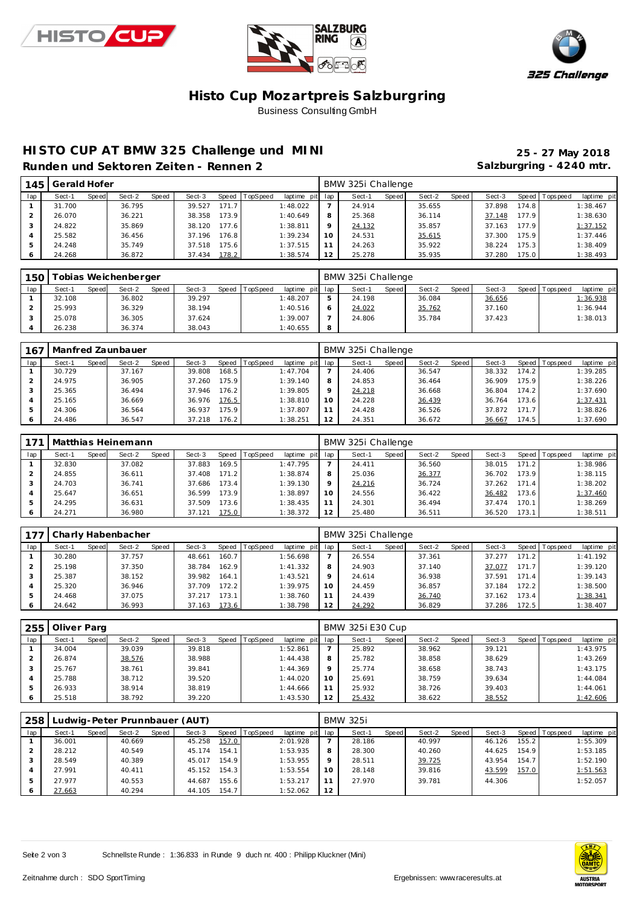





#### **Histo Cup Mozartpre is Salzburgring** Business Consulting GmbH

# **HISTO CUP AT BMW 325 Challenge und MINI 25 - 27 May 2018**

Runden und Sektoren Zeiten - Rennen 2 **bis auch der State State State State State State State State State State State State State State State State State State State State State State State State State State State State St** 

| 145     | Gerald Hofer |       |        |       |        |       |          |                 |         | BMW 325i Challenge |       |        |       |        |       |                 |             |
|---------|--------------|-------|--------|-------|--------|-------|----------|-----------------|---------|--------------------|-------|--------|-------|--------|-------|-----------------|-------------|
| lap     | Sect-1       | Speed | Sect-2 | Speed | Sect-3 | Speed | TopSpeed | laptime pit lap |         | Sect-1             | Speed | Sect-2 | Speed | Sect-3 |       | Speed Tops peed | laptime pit |
|         | 31.700       |       | 36.795 |       | 39.527 | 171.7 |          | 1:48.022        |         | 24.914             |       | 35.655 |       | 37.898 | 174.8 |                 | 1:38.467    |
|         | 26.070       |       | 36.221 |       | 38.358 | 173.9 |          | 1:40.649        | 8       | 25.368             |       | 36.114 |       | 37.148 | 177.9 |                 | 1:38.630    |
|         | 24.822       |       | 35.869 |       | 38.120 | 177.6 |          | 1:38.811        | $\circ$ | 24.132             |       | 35.857 |       | 37.163 | 177.9 |                 | 1:37.152    |
|         | 25.582       |       | 36.456 |       | 37.196 | 176.8 |          | 1:39.234        | 10      | 24.531             |       | 35.615 |       | 37.300 | 175.9 |                 | 1:37.446    |
| 5       | 24.248       |       | 35.749 |       | 37.518 | 175.6 |          | 1:37.515        |         | 24.263             |       | 35.922 |       | 38.224 | 175.3 |                 | 1:38.409    |
| $\circ$ | 24.268       |       | 36.872 |       | 37.434 | 178.2 |          | 1:38.574        | 12      | 25.278             |       | 35.935 |       | 37.280 | 175.0 |                 | 1:38.493    |

| 150 |        |       | obias Weichenberger |       |        |                |                 | BMW 325i Challenge |       |        |       |        |                 |             |
|-----|--------|-------|---------------------|-------|--------|----------------|-----------------|--------------------|-------|--------|-------|--------|-----------------|-------------|
| lap | Sect-1 | Speed | Sect-2              | Speed | Sect-3 | Speed TopSpeed | laptime pit lap | Sect-1             | Speed | Sect-2 | Speed | Sect-3 | Speed Tops peed | laptime pit |
|     | 32.108 |       | 36.802              |       | 39.297 |                | 1:48.207        | 24.198             |       | 36.084 |       | 36.656 |                 | 1:36.938    |
|     | 25.993 |       | 36.329              |       | 38.194 |                | 1:40.516        | 24.022             |       | 35.762 |       | 37.160 |                 | 1:36.944    |
|     | 25.078 |       | 36.305              |       | 37.624 |                | 1:39.007        | 24.806             |       | 35.784 |       | 37.423 |                 | 1:38.013    |
|     | 26.238 |       | 36.374              |       | 38.043 |                | 1:40.655        |                    |       |        |       |        |                 |             |

| 167 |        |       | Manfred Zaunbauer |       |        |       |                |             |         | BMW 325i Challenge |              |        |       |        |       |                |             |
|-----|--------|-------|-------------------|-------|--------|-------|----------------|-------------|---------|--------------------|--------------|--------|-------|--------|-------|----------------|-------------|
| lap | Sect-1 | Speed | Sect-2            | Speed | Sect-3 |       | Speed TopSpeed | laptime pit | lap     | Sect-1             | <b>Speed</b> | Sect-2 | Speed | Sect-3 |       | Speed Topspeed | laptime pit |
|     | 30.729 |       | 37.167            |       | 39.808 | 168.5 |                | 1:47.704    |         | 24.406             |              | 36.547 |       | 38.332 | 174.2 |                | 1:39.285    |
|     | 24.975 |       | 36.905            |       | 37.260 | 175.9 |                | 1:39.140    | 8       | 24.853             |              | 36.464 |       | 36.909 | 175.9 |                | 1:38.226    |
|     | 25.365 |       | 36.494            |       | 37.946 | 176.2 |                | 1:39.805    | $\circ$ | 24.218             |              | 36.668 |       | 36.804 | 174.2 |                | 1:37.690    |
|     | 25.165 |       | 36.669            |       | 36.976 | 176.5 |                | 1:38.810    | 10      | 24.228             |              | 36.439 |       | 36.764 | 173.6 |                | 1:37.431    |
|     | 24.306 |       | 36.564            |       | 36.937 | 175.9 |                | 1:37.807    |         | 24.428             |              | 36.526 |       | 37.872 | 171.7 |                | 1:38.826    |
|     | 24.486 |       | 36.547            |       | 37.218 | 176.2 |                | 1:38.251    | 12      | 24.351             |              | 36.672 |       | 36.667 | 174.5 |                | 1:37.690    |

|         |        |       | Matthias Heinemann |       |        |       |                |                 |                 | BMW 325i Challenge |       |        |       |        |                    |            |             |
|---------|--------|-------|--------------------|-------|--------|-------|----------------|-----------------|-----------------|--------------------|-------|--------|-------|--------|--------------------|------------|-------------|
| lap     | Sect-1 | Speed | Sect-2             | Speed | Sect-3 |       | Speed TopSpeed | laptime pit lap |                 | Sect-1             | Speed | Sect-2 | Speed | Sect-3 | Speed              | T ops peed | laptime pit |
|         | 32.830 |       | 37.082             |       | 37.883 | 169.5 |                | 1:47.795        |                 | 24.411             |       | 36.560 |       | 38.015 | 171.2              |            | 1:38.986    |
|         | 24.855 |       | 36.611             |       | 37.408 | 171.2 |                | 1:38.874        | 8               | 25.036             |       | 36.377 |       | 36.702 | 173.9              |            | 1:38.115    |
|         | 24.703 |       | 36.741             |       | 37.686 | 173.4 |                | 1:39.130        | $\circ$         | 24.216             |       | 36.724 |       | 37.262 | 171.4              |            | 1:38.202    |
|         | 25.647 |       | 36.651             |       | 36.599 | 173.9 |                | 1:38.897        | 10 <sup>°</sup> | 24.556             |       | 36.422 |       | 36.482 | 173.6 <sub>1</sub> |            | 1:37.460    |
|         | 24.295 |       | 36.631             |       | 37.509 | 173.6 |                | 1:38.435        |                 | 24.301             |       | 36.494 |       | 37.474 | 170.1              |            | 1:38.269    |
| $\circ$ | 24.271 |       | 36.980             |       | 37.121 | 175.0 |                | 1:38.372        | 12              | 25.480             |       | 36.511 |       | 36.520 | 173.1              |            | 1:38.511    |

| 177 |        |       | Charly Habenbacher |       |        |       |                  |             |     | BMW 325i Challenge |       |        |       |        |       |                |             |
|-----|--------|-------|--------------------|-------|--------|-------|------------------|-------------|-----|--------------------|-------|--------|-------|--------|-------|----------------|-------------|
| lap | Sect-1 | Speed | Sect-2             | Speed | Sect-3 |       | Speed   TopSpeed | laptime pit | lap | Sect-1             | Speed | Sect-2 | Speed | Sect-3 |       | Speed Topspeed | laptime pit |
|     | 30.280 |       | 37.757             |       | 48.661 | 160.7 |                  | 1:56.698    |     | 26.554             |       | 37.361 |       | 37.277 | 171.2 |                | 1:41.192    |
|     | 25.198 |       | 37.350             |       | 38.784 | 162.9 |                  | 1:41.332    | 8   | 24.903             |       | 37.140 |       | 37.077 | 171.7 |                | 1:39.120    |
|     | 25.387 |       | 38.152             |       | 39.982 | 164.1 |                  | 1:43.521    | Q   | 24.614             |       | 36.938 |       | 37.591 | 171.4 |                | 1:39.143    |
|     | 25.320 |       | 36.946             |       | 37.709 | 172.2 |                  | 1:39.975    | 10  | 24.459             |       | 36.857 |       | 37.184 | 172.2 |                | 1:38.500    |
|     | 24.468 |       | 37.075             |       | 37.217 | 173.1 |                  | 1:38.760    | 11  | 24.439             |       | 36.740 |       | 37.162 | 173.4 |                | 1:38.341    |
| 6   | 24.642 |       | 36.993             |       | 37.163 | 173.6 |                  | 1:38.798    | 12  | 24.292             |       | 36.829 |       | 37.286 | 172.5 |                | 1:38.407    |

| 255 | Oliver Parg |       |        |       |        |       |          |             |         | <b>BMW 325i E30 Cup</b> |       |        |       |        |                |             |
|-----|-------------|-------|--------|-------|--------|-------|----------|-------------|---------|-------------------------|-------|--------|-------|--------|----------------|-------------|
| lap | Sect-1      | Speed | Sect-2 | Speed | Sect-3 | Speed | TopSpeed | laptime pit | lap     | Sect-1                  | Speed | Sect-2 | Speed | Sect-3 | Speed Topspeed | laptime pit |
|     | 34.004      |       | 39.039 |       | 39.818 |       |          | 1:52.861    |         | 25.892                  |       | 38.962 |       | 39.121 |                | 1:43.975    |
|     | 26.874      |       | 38.576 |       | 38.988 |       |          | 1:44.438    | 8       | 25.782                  |       | 38.858 |       | 38.629 |                | 1:43.269    |
|     | 25.767      |       | 38.761 |       | 39.841 |       |          | 1:44.369    | $\circ$ | 25.774                  |       | 38.658 |       | 38.743 |                | 1:43.175    |
|     | 25.788      |       | 38.712 |       | 39.520 |       |          | 1:44.020    | 10      | 25.691                  |       | 38.759 |       | 39.634 |                | 1:44.084    |
| 5   | 26.933      |       | 38.914 |       | 38.819 |       |          | 1:44.666    |         | 25.932                  |       | 38.726 |       | 39.403 |                | 1:44.061    |
| 6   | 25.518      |       | 38.792 |       | 39.220 |       |          | 1:43.530    | 12      | 25.432                  |       | 38.622 |       | 38.552 |                | 1:42.606    |

| 258 |        |       | Ludwig-Peter Prunnbauer (AUT) |       |        |       |                |                 |    | <b>BMW 325i</b> |         |        |       |        |       |                |             |
|-----|--------|-------|-------------------------------|-------|--------|-------|----------------|-----------------|----|-----------------|---------|--------|-------|--------|-------|----------------|-------------|
| lap | Sect-1 | Speed | Sect-2                        | Speed | Sect-3 |       | Speed TopSpeed | laptime pit lap |    | Sect-1          | Speed I | Sect-2 | Speed | Sect-3 |       | Speed Topspeed | laptime pit |
|     | 36.001 |       | 40.669                        |       | 45.258 | 157.0 |                | 2:01.928        |    | 28.186          |         | 40.997 |       | 46.126 | 155.2 |                | 1:55.309    |
|     | 28.212 |       | 40.549                        |       | 45.174 | 154.1 |                | 1:53.935        | 8  | 28.300          |         | 40.260 |       | 44.625 | 154.9 |                | 1:53.185    |
|     | 28.549 |       | 40.389                        |       | 45.017 | 154.9 |                | 1:53.955        |    | 28.511          |         | 39.725 |       | 43.954 | 154.7 |                | 1:52.190    |
|     | 27.991 |       | 40.411                        |       | 45.152 | 154.3 |                | 1:53.554        | 10 | 28.148          |         | 39.816 |       | 43.599 | 157.0 |                | 1:51.563    |
|     | 27.977 |       | 40.553                        |       | 44.687 | 155.6 |                | 1:53.217        |    | 27.970          |         | 39.781 |       | 44.306 |       |                | 1:52.057    |
| 6   | 27.663 |       | 40.294                        |       | 44.105 | 154.7 |                | 1:52.062        | 12 |                 |         |        |       |        |       |                |             |